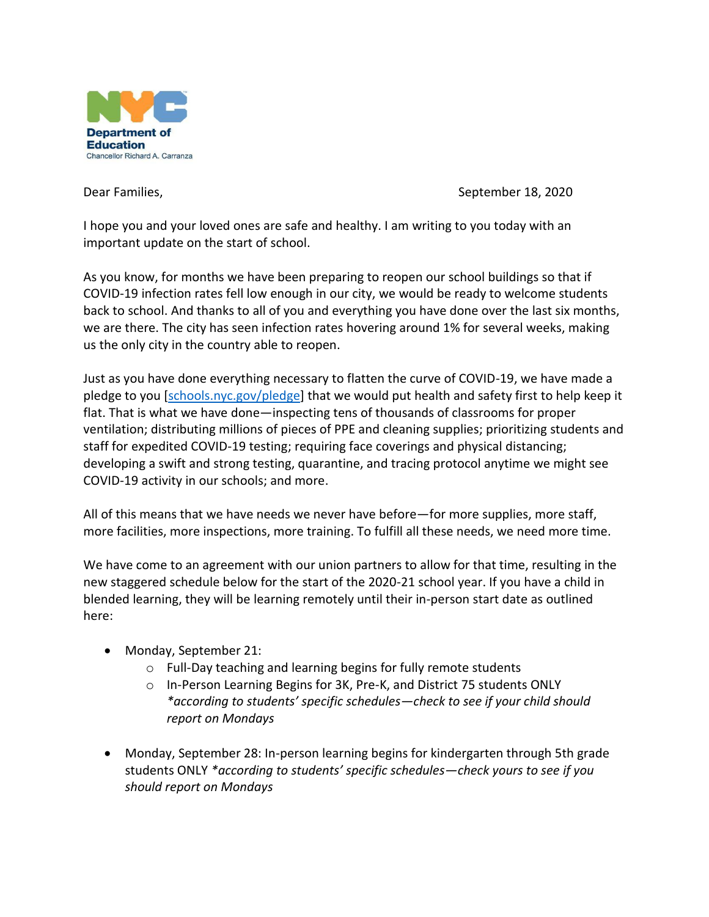

Dear Families, September 18, 2020

I hope you and your loved ones are safe and healthy. I am writing to you today with an important update on the start of school.

As you know, for months we have been preparing to reopen our school buildings so that if COVID-19 infection rates fell low enough in our city, we would be ready to welcome students back to school. And thanks to all of you and everything you have done over the last six months, we are there. The city has seen infection rates hovering around 1% for several weeks, making us the only city in the country able to reopen.

Just as you have done everything necessary to flatten the curve of COVID-19, we have made a pledge to you [\[schools.nyc.gov/pledge\]](schools.nyc.gov/pledge) that we would put health and safety first to help keep it flat. That is what we have done—inspecting tens of thousands of classrooms for proper ventilation; distributing millions of pieces of PPE and cleaning supplies; prioritizing students and staff for expedited COVID-19 testing; requiring face coverings and physical distancing; developing a swift and strong testing, quarantine, and tracing protocol anytime we might see COVID-19 activity in our schools; and more.

All of this means that we have needs we never have before—for more supplies, more staff, more facilities, more inspections, more training. To fulfill all these needs, we need more time.

We have come to an agreement with our union partners to allow for that time, resulting in the new staggered schedule below for the start of the 2020-21 school year. If you have a child in blended learning, they will be learning remotely until their in-person start date as outlined here:

- Monday, September 21:
	- o Full-Day teaching and learning begins for fully remote students
	- o In-Person Learning Begins for 3K, Pre-K, and District 75 students ONLY *\*according to students' specific schedules—check to see if your child should report on Mondays*
- Monday, September 28: In-person learning begins for kindergarten through 5th grade students ONLY *\*according to students' specific schedules—check yours to see if you should report on Mondays*